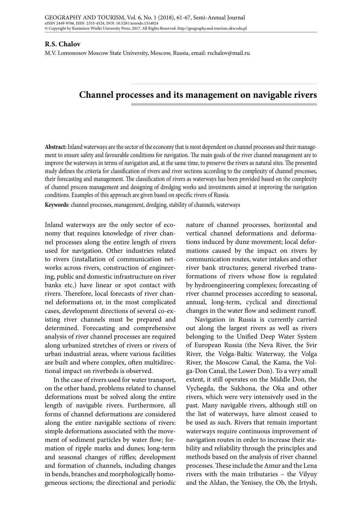## **R.S. Chalov**

M.V. Lomonosov Moscow State University, Moscow, Russia, email: rschalov@mail.ru

## **Channel processes and its management on navigable rivers**

**Abstract:** Inland waterways are the sector of the economy that is most dependent on channel processes and their management to ensure safety and favourable conditions for navigation. The main goals of the river channel management are to improve the waterways in terms of navigation and, at the same time, to preserve the rivers as natural sites. The presented study defines the criteria for classification of rivers and river sections according to the complexity of channel processes, their forecasting and management. The classification of rivers as waterways has been provided based on the complexity of channel process management and designing of dredging works and investments aimed at improving the navigation conditions. Examples of this approach are given based on specific rivers of Russia.

**Keywords**: channel processes, management, dredging, stability of channels, waterways

Inland waterways are the only sector of economy that requires knowledge of river channel processes along the entire length of rivers used for navigation. Other industries related to rivers (installation of communication networks across rivers, construction of engineering, public and domestic infrastructure on river banks etc.) have linear or spot contact with rivers. Therefore, local forecasts of river channel deformations or, in the most complicated cases, development directions of several co-existing river channels must be prepared and determined. Forecasting and comprehensive analysis of river channel processes are required along urbanized stretches of rivers or rivers of urban industrial areas, where various facilities are built and where complex, often multidirectional impact on riverbeds is observed.

In the case of rivers used for water transport, on the other hand, problems related to channel deformations must be solved along the entire length of navigable rivers. Furthermore, all forms of channel deformations are considered along the entire navigable sections of rivers: simple deformations associated with the movement of sediment particles by water flow; formation of ripple marks and dunes; long-term and seasonal changes of riffles; development and formation of channels, including changes in bends, branches and morphologically homogeneous sections; the directional and periodic

nature of channel processes, horizontal and vertical channel deformations and deformations induced by dune movement; local deformations caused by the impact on rivers by communication routes, water intakes and other river bank structures; general riverbed transformations of rivers whose flow is regulated by hydroengineering complexes; forecasting of river channel processes according to seasonal, annual, long-term, cyclical and directional changes in the water flow and sediment runoff.

Navigation in Russia is currently carried out along the largest rivers as well as rivers belonging to the Unified Deep Water System of European Russia (the Neva River, the Svir River, the Volga-Baltic Waterway, the Volga River, the Moscow Canal, the Kama, the Volga-Don Canal, the Lower Don). To a very small extent, it still operates on the Middle Don, the Vychegda, the Sukhona, the Oka and other rivers, which were very intensively used in the past. Many navigable rivers, although still on the list of waterways, have almost ceased to be used as such. Rivers that remain important waterways require continuous improvement of navigation routes in order to increase their stability and reliability through the principles and methods based on the analysis of river channel processes. These include the Amur and the Lena rivers with the main tributaries – the Vilyuy and the Aldan, the Yenisey, the Ob, the Irtysh,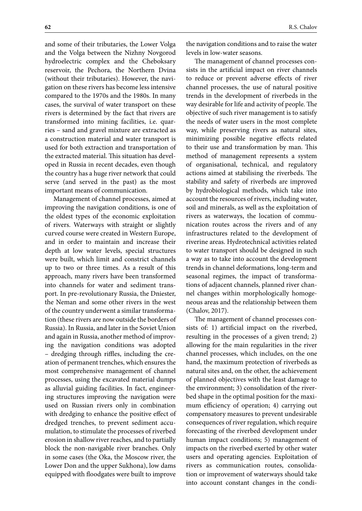and some of their tributaries, the Lower Volga and the Volga between the Nizhny Novgorod hydroelectric complex and the Cheboksary reservoir, the Pechora, the Northern Dvina (without their tributaries). However, the navigation on these rivers has become less intensive compared to the 1970s and the 1980s. In many cases, the survival of water transport on these rivers is determined by the fact that rivers are transformed into mining facilities, i.e. quarries – sand and gravel mixture are extracted as a construction material and water transport is used for both extraction and transportation of the extracted material. This situation has developed in Russia in recent decades, even though the country has a huge river network that could serve (and served in the past) as the most important means of communication.

Management of channel processes, aimed at improving the navigation conditions, is one of the oldest types of the economic exploitation of rivers. Waterways with straight or slightly curved course were created in Western Europe, and in order to maintain and increase their depth at low water levels, special structures were built, which limit and constrict channels up to two or three times. As a result of this approach, many rivers have been transformed into channels for water and sediment transport. In pre-revolutionary Russia, the Dniester, the Neman and some other rivers in the west of the country underwent a similar transformation (these rivers are now outside the borders of Russia). In Russia, and later in the Soviet Union and again in Russia, another method of improving the navigation conditions was adopted – dredging through riffles, including the creation of permanent trenches, which ensures the most comprehensive management of channel processes, using the excavated material dumps as alluvial guiding facilities. In fact, engineering structures improving the navigation were used on Russian rivers only in combination with dredging to enhance the positive effect of dredged trenches, to prevent sediment accumulation, to stimulate the processes of riverbed erosion in shallow river reaches, and to partially block the non-navigable river branches. Only in some cases (the Oka, the Moscow river, the Lower Don and the upper Sukhona), low dams equipped with floodgates were built to improve

the navigation conditions and to raise the water levels in low-water seasons.

The management of channel processes consists in the artificial impact on river channels to reduce or prevent adverse effects of river channel processes, the use of natural positive trends in the development of riverbeds in the way desirable for life and activity of people. The objective of such river management is to satisfy the needs of water users in the most complete way, while preserving rivers as natural sites, minimizing possible negative effects related to their use and transformation by man. This method of management represents a system of organisational, technical, and regulatory actions aimed at stabilising the riverbeds. The stability and safety of riverbeds are improved by hydrobiological methods, which take into account the resources of rivers, including water, soil and minerals, as well as the exploitation of rivers as waterways, the location of communication routes across the rivers and of any infrastructures related to the development of riverine areas. Hydrotechnical activities related to water transport should be designed in such a way as to take into account the development trends in channel deformations, long-term and seasonal regimes, the impact of transformations of adjacent channels, planned river channel changes within morphologically homogeneous areas and the relationship between them (Chalov, 2017).

The management of channel processes consists of: 1) artificial impact on the riverbed, resulting in the processes of a given trend; 2) allowing for the main regularities in the river channel processes, which includes, on the one hand, the maximum protection of riverbeds as natural sites and, on the other, the achievement of planned objectives with the least damage to the environment; 3) consolidation of the riverbed shape in the optimal position for the maximum efficiency of operation; 4) carrying out compensatory measures to prevent undesirable consequences of river regulation, which require forecasting of the riverbed development under human impact conditions; 5) management of impacts on the riverbed exerted by other water users and operating agencies. Exploitation of rivers as communication routes, consolidation or improvement of waterways should take into account constant changes in the condi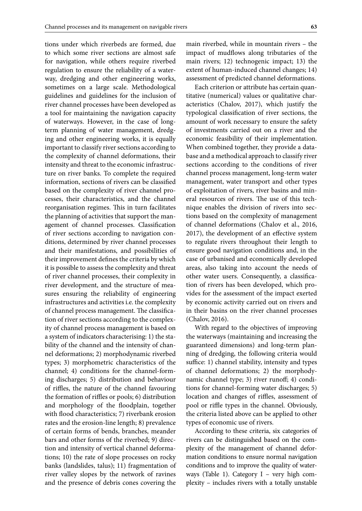tions under which riverbeds are formed, due to which some river sections are almost safe for navigation, while others require riverbed regulation to ensure the reliability of a waterway, dredging and other engineering works, sometimes on a large scale. Methodological guidelines and guidelines for the inclusion of river channel processes have been developed as a tool for maintaining the navigation capacity of waterways. However, in the case of longterm planning of water management, dredging and other engineering works, it is equally important to classify river sections according to the complexity of channel deformations, their intensity and threat to the economic infrastructure on river banks. To complete the required information, sections of rivers can be classified based on the complexity of river channel processes, their characteristics, and the channel reorganisation regimes. This in turn facilitates the planning of activities that support the management of channel processes. Classification of river sections according to navigation conditions, determined by river channel processes and their manifestations, and possibilities of their improvement defines the criteria by which it is possible to assess the complexity and threat of river channel processes, their complexity in river development, and the structure of measures ensuring the reliability of engineering infrastructures and activities i.e. the complexity of channel process management. The classification of river sections according to the complexity of channel process management is based on a system of indicators characterising: 1) the stability of the channel and the intensity of channel deformations; 2) morphodynamic riverbed types; 3) morphometric characteristics of the channel; 4) conditions for the channel-forming discharges; 5) distribution and behaviour of riffles, the nature of the channel favouring the formation of riffles or pools; 6) distribution and morphology of the floodplain, together with flood characteristics; 7) riverbank erosion rates and the erosion-line length; 8) prevalence of certain forms of bends, branches, meander bars and other forms of the riverbed; 9) direction and intensity of vertical channel deformations; 10) the rate of slope processes on rocky banks (landslides, talus); 11) fragmentation of river valley slopes by the network of ravines

and the presence of debris cones covering the

main riverbed, while in mountain rivers – the impact of mudflows along tributaries of the main rivers; 12) technogenic impact; 13) the extent of human-induced channel changes; 14) assessment of predicted channel deformations.

Each criterion or attribute has certain quantitative (numerical) values or qualitative characteristics (Chalov, 2017), which justify the typological classification of river sections, the amount of work necessary to ensure the safety of investments carried out on a river and the economic feasibility of their implementation. When combined together, they provide a database and a methodical approach to classify river sections according to the conditions of river channel process management, long-term water management, water transport and other types of exploitation of rivers, river basins and mineral resources of rivers. The use of this technique enables the division of rivers into sections based on the complexity of management of channel deformations (Chalov et al., 2016, 2017), the development of an effective system to regulate rivers throughout their length to ensure good navigation conditions and, in the case of urbanised and economically developed areas, also taking into account the needs of other water users. Consequently, a classification of rivers has been developed, which provides for the assessment of the impact exerted by economic activity carried out on rivers and in their basins on the river channel processes (Chalov, 2016).

With regard to the objectives of improving the waterways (maintaining and increasing the guaranteed dimensions) and long-term planning of dredging, the following criteria would suffice: 1) channel stability, intensity and types of channel deformations; 2) the morphodynamic channel type; 3) river runoff; 4) conditions for channel-forming water discharges; 5) location and changes of riffles, assessment of pool or riffle types in the channel. Obviously, the criteria listed above can be applied to other types of economic use of rivers.

According to these criteria, six categories of rivers can be distinguished based on the complexity of the management of channel deformation conditions to ensure normal navigation conditions and to improve the quality of waterways (Table 1). Category I - very high complexity – includes rivers with a totally unstable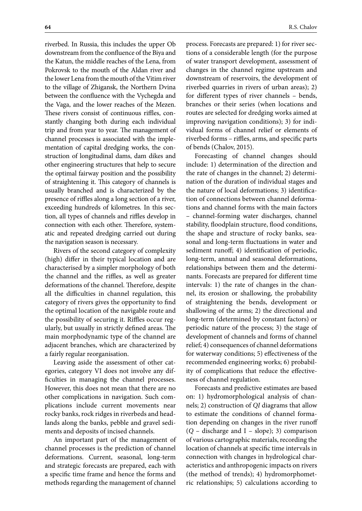riverbed. In Russia, this includes the upper Ob downstream from the confluence of the Biya and the Katun, the middle reaches of the Lena, from Pokrovsk to the mouth of the Aldan river and the lower Lena from the mouth of the Vitim river to the village of Zhigansk, the Northern Dvina between the confluence with the Vychegda and the Vaga, and the lower reaches of the Mezen. These rivers consist of continuous riffles, constantly changing both during each individual trip and from year to year. The management of channel processes is associated with the implementation of capital dredging works, the construction of longitudinal dams, dam dikes and other engineering structures that help to secure the optimal fairway position and the possibility of straightening it. This category of channels is usually branched and is characterized by the presence of riffles along a long section of a river, exceeding hundreds of kilometres. In this section, all types of channels and riffles develop in connection with each other. Therefore, systematic and repeated dredging carried out during the navigation season is necessary.

Rivers of the second category of complexity (high) differ in their typical location and are characterised by a simpler morphology of both the channel and the riffles, as well as greater deformations of the channel. Therefore, despite all the difficulties in channel regulation, this category of rivers gives the opportunity to find the optimal location of the navigable route and the possibility of securing it. Riffles occur regularly, but usually in strictly defined areas. The main morphodynamic type of the channel are adjacent branches, which are characterized by a fairly regular reorganisation.

Leaving aside the assessment of other categories, category VI does not involve any difficulties in managing the channel processes. However, this does not mean that there are no other complications in navigation. Such complications include current movements near rocky banks, rock ridges in riverbeds and headlands along the banks, pebble and gravel sediments and deposits of incised channels.

An important part of the management of channel processes is the prediction of channel deformations. Current, seasonal, long-term and strategic forecasts are prepared, each with a specific time frame and hence the forms and methods regarding the management of channel

process. Forecasts are prepared: 1) for river sections of a considerable length (for the purpose of water transport development, assessment of changes in the channel regime upstream and downstream of reservoirs, the development of riverbed quarries in rivers of urban areas); 2) for different types of river channels – bends, branches or their series (when locations and routes are selected for dredging works aimed at improving navigation conditions); 3) for individual forms of channel relief or elements of riverbed forms – riffles, arms, and specific parts of bends (Chalov, 2015).

Forecasting of channel changes should include: 1) determination of the direction and the rate of changes in the channel; 2) determination of the duration of individual stages and the nature of local deformations; 3) identification of connections between channel deformations and channel forms with the main factors – channel-forming water discharges, channel stability, floodplain structure, flood conditions, the shape and structure of rocky banks, seasonal and long-term fluctuations in water and sediment runoff; 4) identification of periodic, long-term, annual and seasonal deformations, relationships between them and the determinants. Forecasts are prepared for different time intervals: 1) the rate of changes in the channel, its erosion or shallowing, the probability of straightening the bends, development or shallowing of the arms; 2) the directional and long-term (determined by constant factors) or periodic nature of the process; 3) the stage of development of channels and forms of channel relief; 4) consequences of channel deformations for waterway conditions; 5) effectiveness of the recommended engineering works; 6) probability of complications that reduce the effectiveness of channel regulation.

Forecasts and predictive estimates are based on: 1) hydromorphological analysis of channels; 2) construction of *QI* diagrams that allow to estimate the conditions of channel formation depending on changes in the river runoff  $(Q - distance and I - slope)$ ; 3) comparison of various cartographic materials, recording the location of channels at specific time intervals in connection with changes in hydrological characteristics and anthropogenic impacts on rivers (the method of trends); 4) hydromorphometric relationships; 5) calculations according to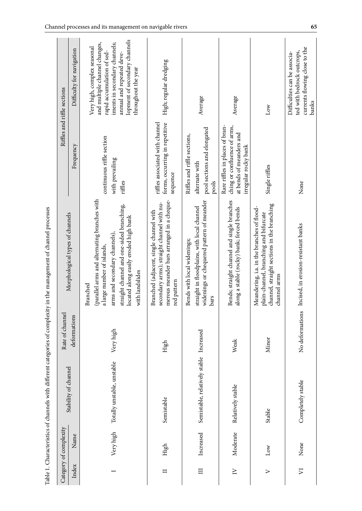|                            | Category of complexity |                                         | Rate of channel |                                                                                                                                                                                                                                  |                                                                                                                     | Riffles and riffle sections                                                                                                                                                                                      |
|----------------------------|------------------------|-----------------------------------------|-----------------|----------------------------------------------------------------------------------------------------------------------------------------------------------------------------------------------------------------------------------|---------------------------------------------------------------------------------------------------------------------|------------------------------------------------------------------------------------------------------------------------------------------------------------------------------------------------------------------|
| Index                      | Name                   | Stability of channel                    | deformations    | Morphological types of channels                                                                                                                                                                                                  | Frequency                                                                                                           | Difficulty for navigation                                                                                                                                                                                        |
|                            | Very high              | Totally unstable, unstable              | Very high       | (parallel arms and alternating branches with<br>straight channel and one-sided branching,<br>located along easily eroded high bank<br>arms and secondary channels),<br>a large number of islands,<br>with landslides<br>Branched | continuous riffle section<br>with prevailing<br>riffles                                                             | lopment of secondary channels<br>iments in secondary channels;<br>and multiple channel changes,<br>Very high, complex seasonal<br>rapid accumulation of sed-<br>annual and repeated deve-<br>throughout the year |
| $\Box$                     | High                   | Semistable                              | High            | merous meander bars arranged in a cheque-<br>secondary arms); straight channel with nu-<br>Branched (adjacent, single channel with<br>red pattern                                                                                | forms, occurring in repetitive<br>riffles associated with channel<br>sequence                                       | High; regular dredging                                                                                                                                                                                           |
| $\Box$                     | Increased              | Semistable, relatively stable Increased |                 | widenings or chequered pattern of meander<br>straight in floodplains, with local channel<br>Bends with local widenings;<br>bars                                                                                                  | pool sections and elongated<br>Riffles and riffle sections,<br>alternate with<br>pools                              | Average                                                                                                                                                                                                          |
| $\geq$                     | Moderate               | Relatively stable                       | Weak            | Bends; straight channel and single branches<br>along a stable (rocky) bank; forced bends                                                                                                                                         | Rare riffles in places of bran-<br>ching or confluence of arms,<br>at bends of meanders and<br>irregular rocky bank | Average                                                                                                                                                                                                          |
| $\triangleright$           | Low                    | Stable                                  | Minor           | channel, straight sections in the branching<br>Meandering, i.a. in the branches of flood-<br>plain-channel, branching and bifurcate<br>channel arms                                                                              | Single riffles                                                                                                      | Low                                                                                                                                                                                                              |
| $\overline{\triangledown}$ | None                   | Completely stable                       | No deformations | Incised, in erosion-resistant banks                                                                                                                                                                                              | None                                                                                                                | currents flowing close to the<br>ted with bedrock outcrops,<br>Difficulties can be associa-<br>banks                                                                                                             |

Table 1. Characteristics of channels with different categories of complexity in the management of channel processes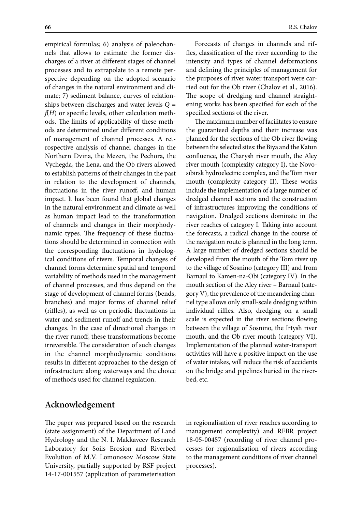empirical formulas; 6) analysis of paleochannels that allows to estimate the former discharges of a river at different stages of channel processes and to extrapolate to a remote perspective depending on the adopted scenario of changes in the natural environment and climate; 7) sediment balance, curves of relationships between discharges and water levels *Q = f*(*H*) or specific levels, other calculation methods. The limits of applicability of these methods are determined under different conditions of management of channel processes. A retrospective analysis of channel changes in the Northern Dvina, the Mezen, the Pechora, the Vychegda, the Lena, and the Ob rivers allowed to establish patterns of their changes in the past in relation to the development of channels, fluctuations in the river runoff, and human impact. It has been found that global changes in the natural environment and climate as well as human impact lead to the transformation of channels and changes in their morphodynamic types. The frequency of these fluctuations should be determined in connection with the corresponding fluctuations in hydrological conditions of rivers. Temporal changes of channel forms determine spatial and temporal variability of methods used in the management of channel processes, and thus depend on the stage of development of channel forms (bends, branches) and major forms of channel relief (riffles), as well as on periodic fluctuations in water and sediment runoff and trends in their changes. In the case of directional changes in the river runoff, these transformations become irreversible. The consideration of such changes in the channel morphodynamic conditions results in different approaches to the design of infrastructure along waterways and the choice of methods used for channel regulation.

Forecasts of changes in channels and riffles, classification of the river according to the intensity and types of channel deformations and defining the principles of management for the purposes of river water transport were carried out for the Ob river (Chalov et al., 2016). The scope of dredging and channel straightening works has been specified for each of the specified sections of the river.

The maximum number of facilitates to ensure the guaranteed depths and their increase was planned for the sections of the Ob river flowing between the selected sites: the Biya and the Katun confluence, the Charysh river mouth, the Aley river mouth (complexity category I), the Novosibirsk hydroelectric complex, and the Tom river mouth (complexity category II). These works include the implementation of a large number of dredged channel sections and the construction of infrastructures improving the conditions of navigation. Dredged sections dominate in the river reaches of category I. Taking into account the forecasts, a radical change in the course of the navigation route is planned in the long term. A large number of dredged sections should be developed from the mouth of the Tom river up to the village of Sosnino (category III) and from Barnaul to Kamen-na-Obi (category IV). In the mouth section of the Aley river – Barnaul (category V), the prevalence of the meandering channel type allows only small-scale dredging within individual riffles. Also, dredging on a small scale is expected in the river sections flowing between the village of Sosnino, the Irtysh river mouth, and the Ob river mouth (category VI). Implementation of the planned water-transport activities will have a positive impact on the use of water intakes, will reduce the risk of accidents on the bridge and pipelines buried in the riverbed, etc.

## **Acknowledgement**

The paper was prepared based on the research (state assignment) of the Department of Land Hydrology and the N. I. Makkaveev Research Laboratory for Soils Erosion and Riverbed Evolution of M.V. Lomonosov Moscow State University, partially supported by RSF project 14-17-001557 (application of parameterisation

in regionalisation of river reaches according to management complexity) and RFBR project 18-05-00457 (recording of river channel processes for regionalisation of rivers according to the management conditions of river channel processes).